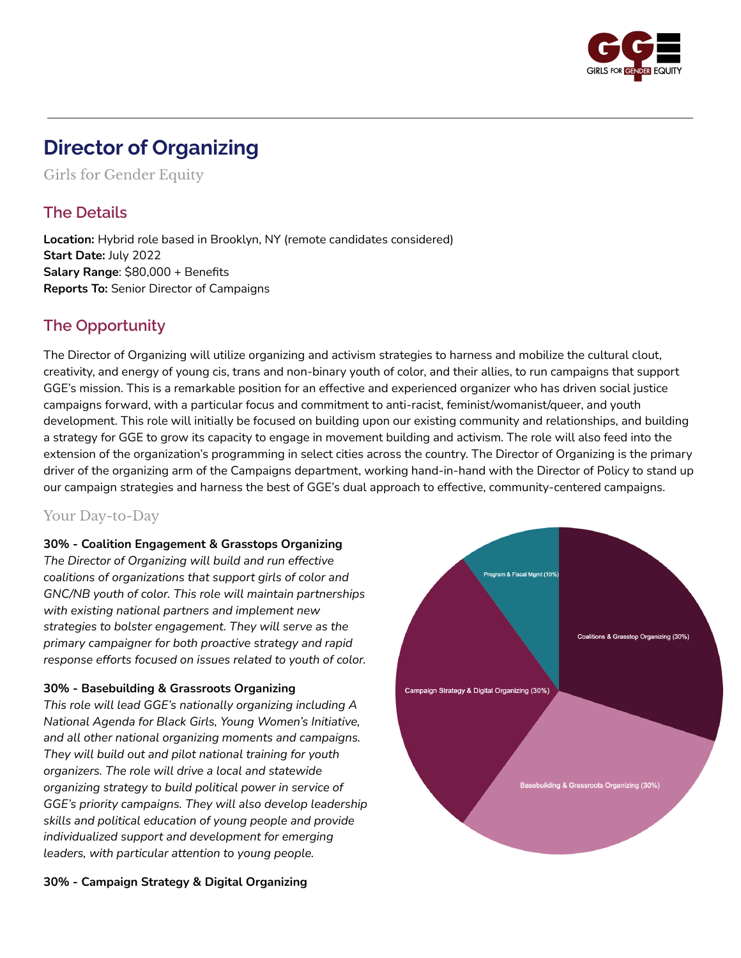

# **Director of Organizing**

Girls for Gender Equity

### **The Details**

**Location:** Hybrid role based in Brooklyn, NY (remote candidates considered) **Start Date:** July 2022 **Salary Range**: \$80,000 + Benefits **Reports To:** Senior Director of Campaigns

### **The Opportunity**

The Director of Organizing will utilize organizing and activism strategies to harness and mobilize the cultural clout, creativity, and energy of young cis, trans and non-binary youth of color, and their allies, to run campaigns that support GGE's mission. This is a remarkable position for an effective and experienced organizer who has driven social justice campaigns forward, with a particular focus and commitment to anti-racist, feminist/womanist/queer, and youth development. This role will initially be focused on building upon our existing community and relationships, and building a strategy for GGE to grow its capacity to engage in movement building and activism. The role will also feed into the extension of the organization's programming in select cities across the country. The Director of Organizing is the primary driver of the organizing arm of the Campaigns department, working hand-in-hand with the Director of Policy to stand up our campaign strategies and harness the best of GGE's dual approach to effective, community-centered campaigns.

### Your Day-to-Day

#### **30% - Coalition Engagement & Grasstops Organizing**

*The Director of Organizing will build and run effective coalitions of organizations that support girls of color and GNC/NB youth of color. This role will maintain partnerships with existing national partners and implement new strategies to bolster engagement. They will serve as the primary campaigner for both proactive strategy and rapid response efforts focused on issues related to youth of color.*

#### **30% - Basebuilding & Grassroots Organizing**

*This role will lead GGE's nationally organizing including A National Agenda for Black Girls, Young Women's Initiative, and all other national organizing moments and campaigns. They will build out and pilot national training for youth organizers. The role will drive a local and statewide organizing strategy to build political power in service of GGE's priority campaigns. They will also develop leadership skills and political education of young people and provide individualized support and development for emerging leaders, with particular attention to young people.*



#### **30% - Campaign Strategy & Digital Organizing**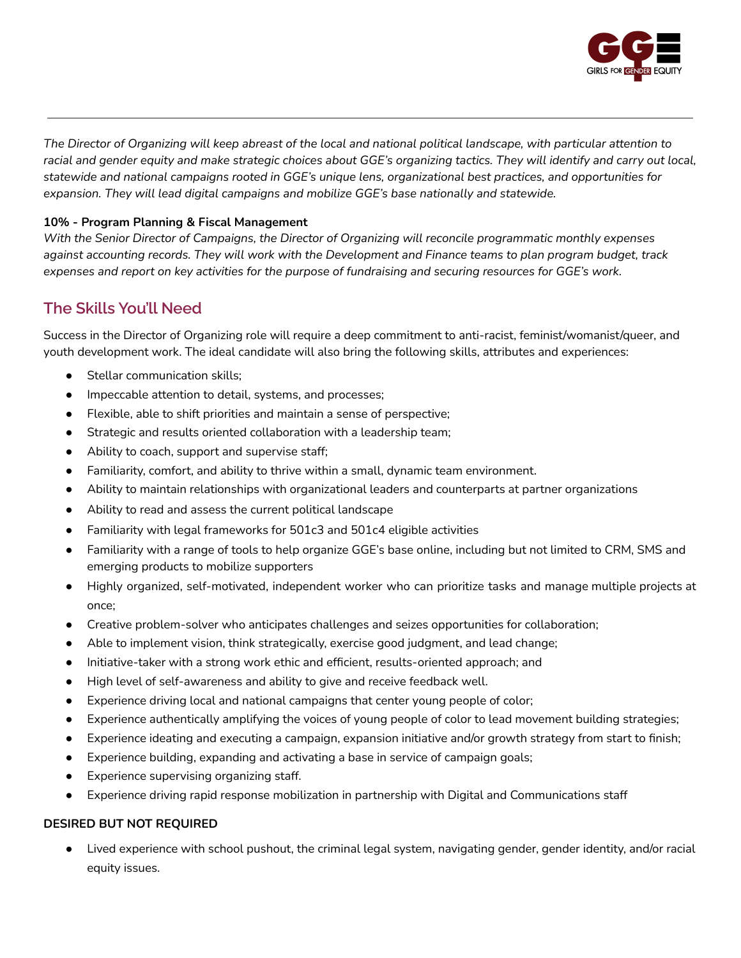

The Director of Organizing will keep abreast of the local and national political landscape, with particular attention to racial and gender equity and make strategic choices about GGE's organizing tactics. They will identify and carry out local, *statewide and national campaigns rooted in GGE's unique lens, organizational best practices, and opportunities for expansion. They will lead digital campaigns and mobilize GGE's base nationally and statewide.*

#### **10% - Program Planning & Fiscal Management**

*With the Senior Director of Campaigns, the Director of Organizing will reconcile programmatic monthly expenses* against accounting records. They will work with the Development and Finance teams to plan program budget, track expenses and report on key activities for the purpose of fundraising and securing resources for GGE's work.

### **The Skills You'll Need**

Success in the Director of Organizing role will require a deep commitment to anti-racist, feminist/womanist/queer, and youth development work. The ideal candidate will also bring the following skills, attributes and experiences:

- Stellar communication skills;
- Impeccable attention to detail, systems, and processes;
- Flexible, able to shift priorities and maintain a sense of perspective;
- Strategic and results oriented collaboration with a leadership team;
- Ability to coach, support and supervise staff;
- Familiarity, comfort, and ability to thrive within a small, dynamic team environment.
- Ability to maintain relationships with organizational leaders and counterparts at partner organizations
- Ability to read and assess the current political landscape
- Familiarity with legal frameworks for 501c3 and 501c4 eligible activities
- Familiarity with a range of tools to help organize GGE's base online, including but not limited to CRM, SMS and emerging products to mobilize supporters
- Highly organized, self-motivated, independent worker who can prioritize tasks and manage multiple projects at once;
- Creative problem-solver who anticipates challenges and seizes opportunities for collaboration;
- Able to implement vision, think strategically, exercise good judgment, and lead change;
- Initiative-taker with a strong work ethic and efficient, results-oriented approach; and
- High level of self-awareness and ability to give and receive feedback well.
- Experience driving local and national campaigns that center young people of color;
- Experience authentically amplifying the voices of young people of color to lead movement building strategies;
- Experience ideating and executing a campaign, expansion initiative and/or growth strategy from start to finish;
- Experience building, expanding and activating a base in service of campaign goals;
- Experience supervising organizing staff.
- Experience driving rapid response mobilization in partnership with Digital and Communications staff

#### **DESIRED BUT NOT REQUIRED**

● Lived experience with school pushout, the criminal legal system, navigating gender, gender identity, and/or racial equity issues.